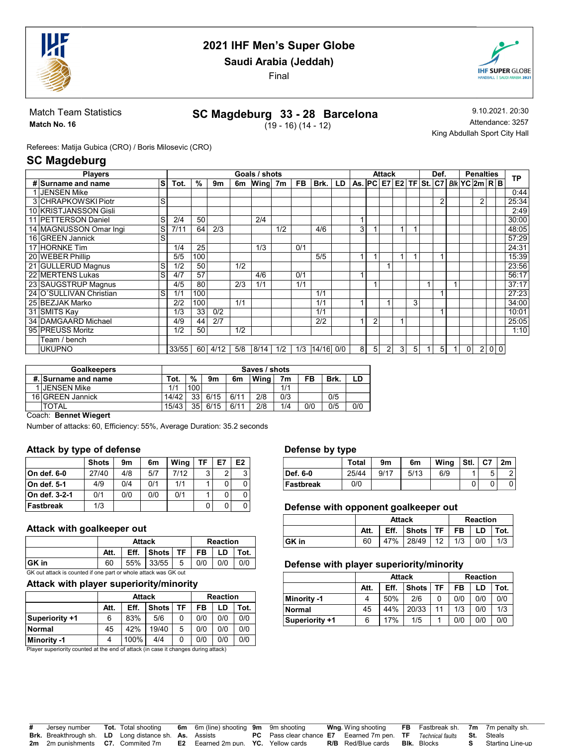

Saudi Arabia (Jeddah)

Final



Match Team Statistics Match No. 16

# SC Magdeburg 33 - 28 Barcelona

 $(19 - 16) (14 - 12)$ 

9.10.2021. 20:30 Attendance: 3257 King Abdullah Sport City Hall

Referees: Matija Gubica (CRO) / Boris Milosevic (CRO)

## SC Magdeburg

| <b>Players</b>             |    |       |      |      |     | Goals / shots |     |     |       |     |                                      |                | Attack |                |   | Def.           |                | <b>Penalties</b> |     | ТP    |
|----------------------------|----|-------|------|------|-----|---------------|-----|-----|-------|-----|--------------------------------------|----------------|--------|----------------|---|----------------|----------------|------------------|-----|-------|
| # Surname and name         | ls | Tot.  | %    | 9m   | 6m  | Wing 7m       |     | FB. | Brk.  | LD. | As. PC E7 E2 TF St. C7 Blk YC 2m R B |                |        |                |   |                |                |                  |     |       |
| 1 JENSEN Mike              |    |       |      |      |     |               |     |     |       |     |                                      |                |        |                |   |                |                |                  |     | 0:44  |
| 3 CHRAPKOWSKI Piotr        | S  |       |      |      |     |               |     |     |       |     |                                      |                |        |                |   | $\overline{2}$ |                | 2                |     | 25:34 |
| 10 KRISTJANSSON Gisli      |    |       |      |      |     |               |     |     |       |     |                                      |                |        |                |   |                |                |                  |     | 2:49  |
| 11 <b>PETTERSON</b> Daniel | S  | 2/4   | 50   |      |     | 2/4           |     |     |       |     |                                      |                |        |                |   |                |                |                  |     | 30:00 |
| 14 MAGNUSSON Omar Ingi     | S  | 7/11  | 64   | 2/3  |     |               | 1/2 |     | 4/6   |     | 3                                    |                |        |                |   |                |                |                  |     | 48:05 |
| 16 GREEN Jannick           | S  |       |      |      |     |               |     |     |       |     |                                      |                |        |                |   |                |                |                  |     | 57:29 |
| 17 HORNKE Tim              |    | 1/4   | 25   |      |     | 1/3           |     | 0/1 |       |     |                                      |                |        |                |   |                |                |                  |     | 24:31 |
| 20 WEBER Phillip           |    | 5/5   | 100  |      |     |               |     |     | 5/5   |     |                                      |                |        |                |   |                |                |                  |     | 15:39 |
| 21 GULLERUD Magnus         | S  | 1/2   | 50   |      | 1/2 |               |     |     |       |     |                                      |                |        |                |   |                |                |                  |     | 23:56 |
| 22 MERTENS Lukas           | S  | 4/7   | 57   |      |     | 4/6           |     | 0/1 |       |     |                                      |                |        |                |   |                |                |                  |     | 56:17 |
| 23 SAUGSTRUP Magnus        |    | 4/5   | 80   |      | 2/3 | 1/1           |     | 1/1 |       |     |                                      |                |        |                |   |                |                |                  |     | 37:17 |
| 24 O'SULLIVAN Christian    | S  | 1/1   | 100  |      |     |               |     |     | 1/1   |     |                                      |                |        |                |   |                |                |                  |     | 27:23 |
| 25 BEZJAK Marko            |    | 2/2   | 100  |      | 1/1 |               |     |     | 1/1   |     |                                      |                |        |                | 3 |                |                |                  |     | 34:00 |
| 31 SMITS Kay               |    | 1/3   | 33   | 0/2  |     |               |     |     | 1/1   |     |                                      |                |        |                |   |                |                |                  |     | 10:01 |
| 34 DAMGAARD Michael        |    | 4/9   | 44   | 2/7  |     |               |     |     | 2/2   |     |                                      | $\overline{2}$ |        |                |   |                |                |                  |     | 25:05 |
| 95 PREUSS Moritz           |    | 1/2   | 50   |      | 1/2 |               |     |     |       |     |                                      |                |        |                |   |                |                |                  |     | 1:10  |
| Team / bench               |    |       |      |      |     |               |     |     |       |     |                                      |                |        |                |   |                |                |                  |     |       |
| <b>UKUPNO</b>              |    | 33/55 | 60 l | 4/12 | 5/8 | 8/14          | 1/2 | 1/3 | 14/16 | 0/0 | 8                                    | 5 <sub>l</sub> | 2      | 3 <sub>l</sub> | 5 | 5              | $\overline{0}$ | $\overline{2}$   | 0 0 |       |

| <b>Goalkeepers</b>  |       |     |                |      | Saves / shots |     |     |      |     |
|---------------------|-------|-----|----------------|------|---------------|-----|-----|------|-----|
| #. Surname and name | Tot.  | %   | 9 <sub>m</sub> | 6m   | Wina          | 7m  | FB  | Brk. | LD  |
| I IJENSEN Mike      | 1/1   | 100 |                |      |               | 1/1 |     |      |     |
| 16 GREEN Jannick    | 14/42 | 331 | 6/15           | 6/11 | 2/8           | 0/3 |     | 0/5  |     |
| <b>TOTAL</b>        | 15/43 | 351 | 6/15           | 6/11 | 2/8           | 1/4 | 0/0 | 0/5  | 0/0 |

#### Coach: Bennet Wiegert

Number of attacks: 60, Efficiency: 55%, Average Duration: 35.2 seconds

#### Attack by type of defense

|               | <b>Shots</b> | 9m  | 6m  | Wina | TF | E7 | E <sub>2</sub> |
|---------------|--------------|-----|-----|------|----|----|----------------|
| On def. 6-0   | 27/40        | 4/8 | 5/7 | 7/12 | 3  | ົ  | ર              |
| On def. 5-1   | 4/9          | 0/4 | 0/1 | 1/1  |    |    |                |
| On def. 3-2-1 | 0/1          | 0/0 | 0/0 | 0/1  |    | 0  |                |
| Fastbreak     | 1/3          |     |     |      | 0  | 0  |                |

#### Attack with goalkeeper out

|                                                                 |      | <b>Attack</b> |              |           |     | <b>Reaction</b> |      |
|-----------------------------------------------------------------|------|---------------|--------------|-----------|-----|-----------------|------|
|                                                                 | Att. | Eff.          | <b>Shots</b> | <b>TF</b> | FB  |                 | Tot. |
| ∣GK in                                                          | 60   |               | 55% 33/55    | 5         | 0/0 | 0/0             | 0/0  |
| GK out attack is counted if one part or whole attack was GK out |      |               |              |           |     |                 |      |

#### Attack with player superiority/minority

|                |      | <b>Attack</b> |              |    |     | <b>Reaction</b> |      |
|----------------|------|---------------|--------------|----|-----|-----------------|------|
|                | Att. | Eff.          | <b>Shots</b> | TF | FB  | LD              | Tot. |
| Superiority +1 | 6    | 83%           | 5/6          |    | 0/0 | 0/0             | 0/0  |
| Normal         | 45   | 42%           | 19/40        | 5  | 0/0 | 0/0             | 0/0  |
| Minority -1    |      | 100%          | 4/4          |    | 0/0 | 0/0             | 0/0  |

Player superiority counted at the end of attack (in case it changes during attack)

#### Defense by type

| -         |              |      |      |      |      |    |    |
|-----------|--------------|------|------|------|------|----|----|
|           | <b>Total</b> | 9m   | 6m   | Wing | Stl. | C7 | 2m |
| Def. 6-0  | 25/44        | 9/17 | 5/13 | 6/9  |      | 5  |    |
| Fastbreak | 0/0          |      |      |      |      |    |    |

#### Defense with opponent goalkeeper out

|        |      | <b>Attack</b> |                                              |  | <b>Reaction</b> |     |
|--------|------|---------------|----------------------------------------------|--|-----------------|-----|
|        | Att. |               | Eff. $ $ Shots $ $ TF $ $ FB $ $ LD $ $ Tot. |  |                 |     |
| ∣GK in | 60   |               | 47% 28/49 12 1/3 0/0                         |  |                 | 1/3 |

#### Defense with player superiority/minority

|                |      | <b>Attack</b> |              |    | <b>Reaction</b><br>FB<br>LD<br>0/0<br>0/0<br>1/3<br>0/0<br>0/0<br>0/0 |      |
|----------------|------|---------------|--------------|----|-----------------------------------------------------------------------|------|
|                | Att. | Eff.          | <b>Shots</b> | TF |                                                                       | Tot. |
| Minority -1    | 4    | 50%           | 2/6          |    |                                                                       | 0/0  |
| Normal         | 45   | 44%           | 20/33        | 11 |                                                                       | 1/3  |
| Superiority +1 | 6    | 17%           | 1/5          |    |                                                                       | 0/0  |

| Jersev number | <b>Tot.</b> Total shooting                                    | <b>6m</b> 6m (line) shooting <b>9m</b> 9m shooting                                                |                                                                                                    | <b>Wng</b> Wing shooting  |                    | <b>FB</b> Fastbreak sh. 7m 7m penalty sh. |
|---------------|---------------------------------------------------------------|---------------------------------------------------------------------------------------------------|----------------------------------------------------------------------------------------------------|---------------------------|--------------------|-------------------------------------------|
|               | <b>Brk.</b> Breakthrough sh. LD Long distance sh. As. Assists |                                                                                                   | <b>PC</b> Pass clear chance <b>E7</b> Eearned 7m pen. <b>TF</b> Technical faults <b>St.</b> Steals |                           |                    |                                           |
|               |                                                               | <b>2m</b> 2m punishments <b>C7.</b> Commited 7m <b>E2</b> Eearned 2m pun. <b>YC.</b> Yellow cards |                                                                                                    | <b>R/B</b> Red/Blue cards | <b>Blk.</b> Blocks | Starting Line-up                          |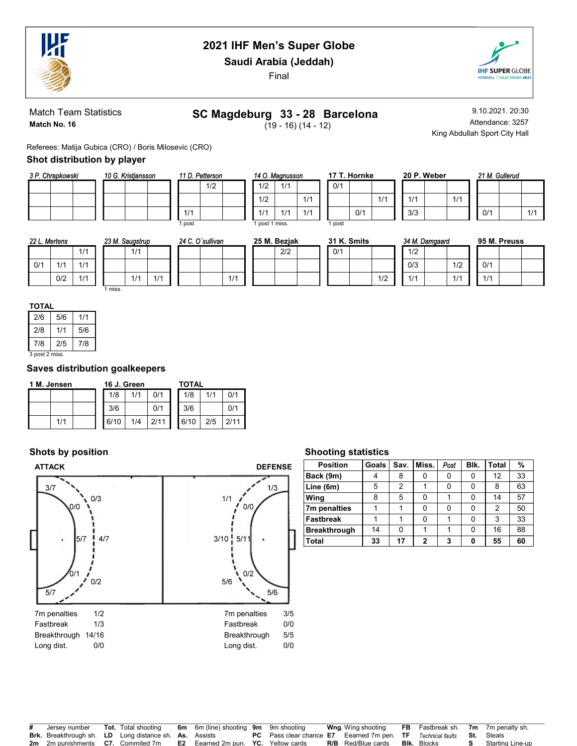

Saudi Arabia (Jeddah)

Final



Match Team Statistics Match No. 16

# SC Magdeburg 33 - 28 Barcelona

 $(19 - 16) (14 - 12)$ 

9.10.2021. 20:30 Attendance: 3257 King Abdullah Sport City Hall

 $1/1$ 

Referees: Matija Gubica (CRO) / Boris Milosevic (CRO)

### Shot distribution by player

| 3 P. Chrapkowski |  | 10 G. Kristjansson |  | 11 D. Petterson |     |  |  |
|------------------|--|--------------------|--|-----------------|-----|--|--|
|                  |  |                    |  |                 | 1/2 |  |  |
|                  |  |                    |  |                 |     |  |  |
|                  |  |                    |  |                 |     |  |  |

|        | 11 D. Petterson |  | 14 O. Magnuss  |     |
|--------|-----------------|--|----------------|-----|
|        | 1/2             |  | 1/2            | 1/1 |
|        |                 |  | 1/2            |     |
| 1/1    |                 |  | 1/1            | 1/1 |
| 1 post |                 |  | 1 post 1 miss. |     |

|              | 4 O. Magnusson |     |        | 17 T. Hornke |  |
|--------------|----------------|-----|--------|--------------|--|
| 1/2          | 1/1            |     | 0/1    |              |  |
| 1/2          |                | 1/1 |        |              |  |
| 1/1          | 1/1            | 1/1 |        | 0/1          |  |
| post 1 miss. |                |     | 1 post |              |  |

| ĸе |     |     | 20 P. Weber |
|----|-----|-----|-------------|
|    |     |     |             |
|    | 1/1 | 1/1 |             |
|    |     | 3/3 |             |

| 21 M. Gullerud |     |  |     |  |  |  |  |  |  |  |  |  |
|----------------|-----|--|-----|--|--|--|--|--|--|--|--|--|
|                |     |  |     |  |  |  |  |  |  |  |  |  |
|                |     |  |     |  |  |  |  |  |  |  |  |  |
|                | 0/1 |  | 1/1 |  |  |  |  |  |  |  |  |  |

| 22 L. Mertens |     |     |       | 23 M. Saugstrup |     | 24 C. O'sullivan |     | 25 M. Bezjak |     |  | 31 K. Smits |     |     | 34 M. Damgaard |     | 95 M. Preuss |  |  |
|---------------|-----|-----|-------|-----------------|-----|------------------|-----|--------------|-----|--|-------------|-----|-----|----------------|-----|--------------|--|--|
|               |     | 1/1 |       | 1/1             |     |                  |     |              | 2/2 |  | 0/1         |     | 1/2 |                |     |              |  |  |
| 0/1           | 414 | 1/1 |       |                 |     |                  |     |              |     |  |             |     | 0/3 |                | 1/2 | 0/1          |  |  |
|               | 0/2 | 1/1 |       | $\mathbf{I}$    | 1/1 |                  | 111 |              |     |  |             | 1/2 | 1/1 |                | 1/1 | 1/1          |  |  |
|               |     |     | miss. |                 |     |                  |     |              |     |  |             |     |     |                |     |              |  |  |

| 2/6            | 5/6 | 1/1 |  |  |  |  |  |  |
|----------------|-----|-----|--|--|--|--|--|--|
| 2/8            | 1/1 | 5/6 |  |  |  |  |  |  |
| 7/8            | 2/5 | 7/8 |  |  |  |  |  |  |
| 3 post 2 miss. |     |     |  |  |  |  |  |  |

#### Saves distribution goalkeepers

| 1 M. Jensen |     |  |      | 16 J. Green |      | TOTAL |     |      |  |  |  |
|-------------|-----|--|------|-------------|------|-------|-----|------|--|--|--|
|             |     |  | 1/8  | 1/1         | 0/1  | 1/8   | 1/1 | 0/1  |  |  |  |
|             |     |  | 3/6  |             | 0/1  | 3/6   |     | 0/1  |  |  |  |
|             | 1/1 |  | 6/10 | 1/4         | 2/11 | 6/10  | 2/5 | 2/11 |  |  |  |

## Shots by position



### Shooting statistics

| <b>Position</b>     | Goals | Sav.           | Miss.        | Post | Blk. | Total | $\%$ |
|---------------------|-------|----------------|--------------|------|------|-------|------|
| Back (9m)           | 4     | 8              |              |      | 0    | 12    | 33   |
| Line (6m)           | 5     | $\overline{2}$ |              | 0    |      | 8     | 63   |
| Wing                | 8     | 5              | 0            |      |      | 14    | 57   |
| 7m penalties        |       |                | 0            | ŋ    |      | 2     | 50   |
| <b>Fastbreak</b>    |       |                | 0            |      |      | 3     | 33   |
| <b>Breakthrough</b> | 14    | 0              |              |      |      | 16    | 88   |
| <b>Total</b>        | 33    | 17             | $\mathbf{2}$ | 3    | Ω    | 55    | 60   |

| Jersey number                                                 | <b>Tot.</b> Total shooting | <b>6m</b> 6m (line) shooting 9m 9m shooting |                                                                                  | <b>Wng</b> . Wing shooting | <b>FB</b> Fastbreak sh. 7m 7m penalty sh. |                   |
|---------------------------------------------------------------|----------------------------|---------------------------------------------|----------------------------------------------------------------------------------|----------------------------|-------------------------------------------|-------------------|
| <b>Brk.</b> Breakthrough sh. LD Long distance sh. As. Assists |                            |                                             | <b>PC</b> Pass clear chance <b>E7</b> Eearned 7m pen. <b>TF</b> Technical faults |                            |                                           | <b>St.</b> Steals |
| <b>2m</b> 2m punishments <b>C7.</b> Commited 7m               |                            | <b>E2</b> Eearned 2m pun. YC. Yellow cards  |                                                                                  | <b>R/B</b> Red/Blue cards  | <b>BIK.</b> Blocks                        | Starting Line-up  |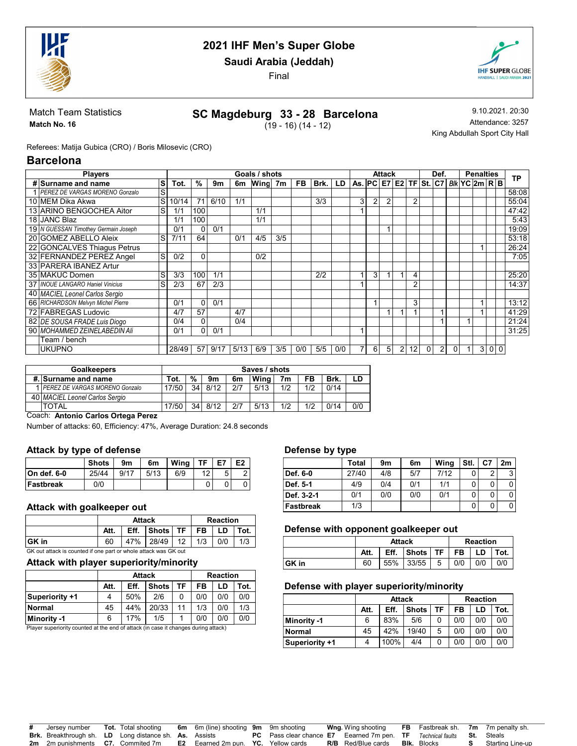

Saudi Arabia (Jeddah)

Final



Match Team Statistics Match No. 16

# SC Magdeburg 33 - 28 Barcelona

 $(19 - 16) (14 - 12)$ 

9.10.2021. 20:30 Attendance: 3257 King Abdullah Sport City Hall

Referees: Matija Gubica (CRO) / Boris Milosevic (CRO)

### Barcelona

| <b>Players</b>                       |   |       |          |      |      | Goals / shots |     |           |      |     |                                   |   | Attack         |                |    |          | Def.           |          | <b>Penalties</b> |   | TP  |       |
|--------------------------------------|---|-------|----------|------|------|---------------|-----|-----------|------|-----|-----------------------------------|---|----------------|----------------|----|----------|----------------|----------|------------------|---|-----|-------|
| # Surname and name                   | s | Tot.  | %        | 9m   | 6m   | Wing          | 7m  | <b>FB</b> | Brk. | LD  | As. $PC$ $E7$ $E2$ $TF$ $St$ $C7$ |   |                |                |    |          |                |          | BIk YC 2m R B    |   |     |       |
| PEREZ DE VARGAS MORENO Gonzalo       | S |       |          |      |      |               |     |           |      |     |                                   |   |                |                |    |          |                |          |                  |   |     | 58:08 |
| 10 MEM Dika Akwa                     | S | 10/14 |          | 6/10 | 1/1  |               |     |           | 3/3  |     | 3                                 | 2 | 2              |                | 2  |          |                |          |                  |   |     | 55:04 |
| 13 ARINO BENGOCHEA Aitor             | S | 1/1   | 100      |      |      | 1/1           |     |           |      |     |                                   |   |                |                |    |          |                |          |                  |   |     | 47:42 |
| 18 JANC Blaz                         |   | 1/1   | 100      |      |      | 1/1           |     |           |      |     |                                   |   |                |                |    |          |                |          |                  |   |     | 5:43  |
| 19 N GUESSAN Timothey Germain Joseph |   | 0/1   | $\Omega$ | 0/1  |      |               |     |           |      |     |                                   |   |                |                |    |          |                |          |                  |   |     | 19:09 |
| 20 GOMEZ ABELLO Aleix                | S | 7/11  | 64       |      | 0/1  | 4/5           | 3/5 |           |      |     |                                   |   |                |                |    |          |                |          |                  |   |     | 53:18 |
| 22 GONCALVES Thiagus Petrus          |   |       |          |      |      |               |     |           |      |     |                                   |   |                |                |    |          |                |          |                  | 1 |     | 26:24 |
| 32 FERNANDEZ PEREZ Angel             | S | 0/2   | 0        |      |      | 0/2           |     |           |      |     |                                   |   |                |                |    |          |                |          |                  |   |     | 7:05  |
| 33 PARERA IBANEZ Artur               |   |       |          |      |      |               |     |           |      |     |                                   |   |                |                |    |          |                |          |                  |   |     |       |
| 35 MAKUC Domen                       | S | 3/3   | 100      | 1/1  |      |               |     |           | 2/2  |     |                                   | 3 |                |                | 4  |          |                |          |                  |   |     | 25:20 |
| 37 INOUE LANGARO Haniel Vinicius     | S | 2/3   | 67       | 2/3  |      |               |     |           |      |     |                                   |   |                |                | 2  |          |                |          |                  |   |     | 14:37 |
| 40 MACIEL Leonel Carlos Sergio       |   |       |          |      |      |               |     |           |      |     |                                   |   |                |                |    |          |                |          |                  |   |     |       |
| 66 RICHARDSON Melvyn Michel Pierre   |   | 0/1   | $\Omega$ | 0/1  |      |               |     |           |      |     |                                   |   |                |                | 3  |          |                |          |                  |   |     | 13:12 |
| 72 FABREGAS Ludovic                  |   | 4/7   | 57       |      | 4/7  |               |     |           |      |     |                                   |   |                |                |    |          |                |          |                  |   |     | 41:29 |
| 82 DE SOUSA FRADE Luis Diogo         |   | 0/4   | 0        |      | 0/4  |               |     |           |      |     |                                   |   |                |                |    |          |                |          |                  |   |     | 21:24 |
| 90 MOHAMMED ZEINELABEDIN Ali         |   | 0/1   | 0        | 0/1  |      |               |     |           |      |     |                                   |   |                |                |    |          |                |          |                  |   |     | 31:25 |
| Team / bench                         |   |       |          |      |      |               |     |           |      |     |                                   |   |                |                |    |          |                |          |                  |   |     |       |
| UKUPNO                               |   | 28/49 | 57       | 9/17 | 5/13 | 6/9           | 3/5 | 0/0       | 5/5  | 0/0 |                                   | 6 | 5 <sub>l</sub> | $\overline{2}$ | 12 | $\Omega$ | $\overline{2}$ | $\Omega$ | $\overline{1}$   |   | 300 |       |

| <b>Goalkeepers</b>                     |      |    |      |     | Saves / shots |                |     |      |     |
|----------------------------------------|------|----|------|-----|---------------|----------------|-----|------|-----|
| #. Surname and name                    | Tot. | %  | 9m   | 6m  | Wina          | 7 <sub>m</sub> | FB  | Brk. |     |
| <b>IPEREZ DE VARGAS MORENO Gonzalo</b> | 7/50 | 34 | 8/12 | 2/7 | 5/13          | 1/2            | 1/2 | 0/14 |     |
| 40 MACIEL Leonel Carlos Sergio         |      |    |      |     |               |                |     |      |     |
| TOTAL                                  | 7/50 | 34 | 8/12 | 2/7 | 5/13          | 1/2            | 1/2 | 0/14 | 0/0 |

#### Coach: Antonio Carlos Ortega Perez

Number of attacks: 60, Efficiency: 47%, Average Duration: 24.8 seconds

#### Attack by type of defense

|                  | <b>Shots</b> | 9m   | 6m   | Wina | ŦЕ | E7 | E <sub>2</sub> |
|------------------|--------------|------|------|------|----|----|----------------|
| ∣On def. 6-0     | 25/44        | 9/17 | 5/13 | 6/9  | 12 | 5  |                |
| <b>Fastbreak</b> | 0/0          |      |      |      |    |    |                |

#### Attack with goalkeeper out

|        |      | <b>Attack</b> | <b>Reaction</b>                              |  |  |     |  |  |  |
|--------|------|---------------|----------------------------------------------|--|--|-----|--|--|--|
|        | Att. |               | Eff. $ $ Shots $ $ TF $ $ FB $ $ LD $ $ Tot. |  |  |     |  |  |  |
| ∣GK in | 60   |               | 47% 28/49 12 1/3 0/0                         |  |  | 1/3 |  |  |  |

GK out attack is counted if one part or whole attack was GK out

#### Attack with player superiority/minority

|                | Att. | Eff. |              |    |     | <b>Reaction</b><br>FB<br>LD |      |  |
|----------------|------|------|--------------|----|-----|-----------------------------|------|--|
|                |      |      | <b>Shots</b> | TF |     |                             | Tot. |  |
| Superiority +1 |      | 50%  | 2/6          |    | 0/0 | 0/0                         | 0/0  |  |
| <b>Normal</b>  | 45   | 44%  | 20/33        | 11 | 1/3 | 0/0                         | 1/3  |  |
| Minority -1    | 6    | 17%  | 1/5          |    | 0/0 | 0/0                         | 0/0  |  |

Player superiority counted at the end of attack (in case it changes during attack)

#### Defense by type

|                  | --    |     |     |      |      |    |    |
|------------------|-------|-----|-----|------|------|----|----|
|                  | Total | 9m  | 6m  | Wing | Stl. | C7 | 2m |
| Def. 6-0         | 27/40 | 4/8 | 5/7 | 7/12 |      | ົ  | 2  |
| Def. 5-1         | 4/9   | 0/4 | 0/1 | 1/1  |      |    |    |
| Def. 3-2-1       | 0/1   | 0/0 | 0/0 | 0/1  |      | 0  |    |
| <b>Fastbreak</b> | 1/3   |     |     |      |      |    |    |

#### Defense with opponent goalkeeper out

|       |      | <b>Attack</b> |          |   | <b>Reaction</b> |     |      |  |
|-------|------|---------------|----------|---|-----------------|-----|------|--|
|       | Att. | Eff.          | Shots TF |   | FB              | LD  | Tot. |  |
| GK in | 60   | 55%           | 33/55    | 5 | 0/0             | 0/0 |      |  |

#### Defense with player superiority/minority

|                |      | <b>Attack</b> |              |    | <b>Reaction</b> |     |      |  |
|----------------|------|---------------|--------------|----|-----------------|-----|------|--|
|                | Att. | Eff.          | <b>Shots</b> | TF | FB              | LD  | Tot. |  |
| Minority -1    | 6    | 83%           | 5/6          |    | 0/0             | 0/0 | 0/0  |  |
| Normal         | 45   | 42%           | 19/40        | 5  | 0/0             | 0/0 | 0/0  |  |
| Superiority +1 |      | 100%          | 4/4          |    | 0/0             | 0/0 | 0/0  |  |

| # Jersey number                                               |  | <b>Tot.</b> Total shooting 6m 6m (line) shooting 9m 9m shooting                                   |                                                                                                    | <b>Wng</b> . Wing shooting | <b>FB</b> Fastbreak sh. 7m 7m penalty sh. |                           |
|---------------------------------------------------------------|--|---------------------------------------------------------------------------------------------------|----------------------------------------------------------------------------------------------------|----------------------------|-------------------------------------------|---------------------------|
| <b>Brk.</b> Breakthrough sh. LD Long distance sh. As. Assists |  |                                                                                                   | <b>PC</b> Pass clear chance <b>E7</b> Eearned 7m pen. <b>TF</b> Technical faults <b>St.</b> Steals |                            |                                           |                           |
|                                                               |  | <b>2m</b> 2m punishments <b>C7.</b> Commited 7m <b>E2</b> Eearned 2m pun. <b>YC.</b> Yellow cards |                                                                                                    | <b>R/B</b> Red/Blue cards  | <b>Blk.</b> Blocks                        | <b>S</b> Starting Line-up |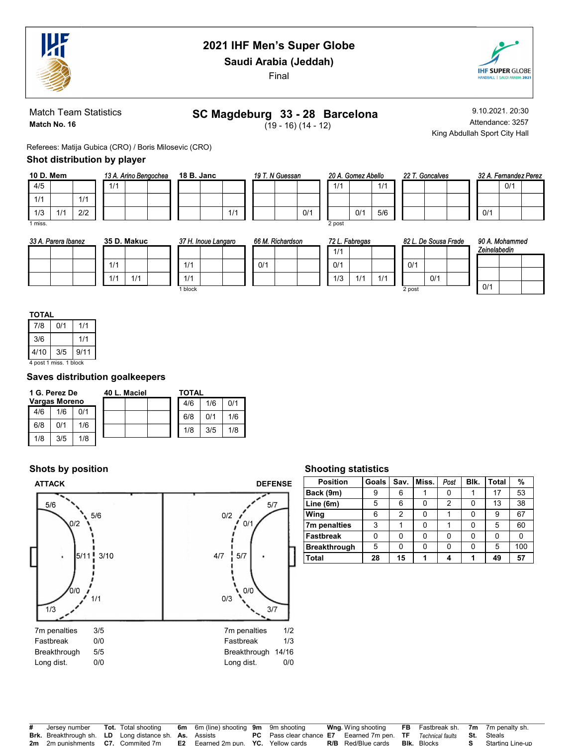

Saudi Arabia (Jeddah)

Final



Match Team Statistics Match No. 16

# SC Magdeburg 33 - 28 Barcelona

 $(19 - 16) (14 - 12)$ 

9.10.2021. 20:30 Attendance: 3257 King Abdullah Sport City Hall

Referees: Matija Gubica (CRO) / Boris Milosevic (CRO)

### Shot distribution by player

| 10 D. Mem |     |     |     | 13 A. Arino Bengochea |  |
|-----------|-----|-----|-----|-----------------------|--|
| 4/5       |     |     | 1/1 |                       |  |
| 1/1       |     | 1/1 |     |                       |  |
| 1/3       | 1/1 | 2/2 |     |                       |  |
| 1 miss.   |     |     |     |                       |  |

18 B. Janc 1/1 19 T. N Guessan

|     |        | 20 A. Gomez Abello |     |  |  |  |  |  |  |  |
|-----|--------|--------------------|-----|--|--|--|--|--|--|--|
|     | 1/1    |                    | 1/1 |  |  |  |  |  |  |  |
|     |        |                    |     |  |  |  |  |  |  |  |
| 0/1 |        | 0/1                | 5/6 |  |  |  |  |  |  |  |
|     | 2 post |                    |     |  |  |  |  |  |  |  |

| llο | 22 T. Gone |  |
|-----|------------|--|
| 1/1 |            |  |
|     |            |  |
| 5/6 |            |  |

2 alves

|  |     | 32 A. Fernandez Perez |  |
|--|-----|-----------------------|--|
|  |     | 0/1                   |  |
|  |     |                       |  |
|  | 0/1 |                       |  |

| 33 A. Parera Ibanez | 35 D. Makuc | 37 H. Inoue Langaro | 66 M. Richardson | 72 L. Fabregas    | 82 L. De Sousa Frade | 90 A. Mohammed |
|---------------------|-------------|---------------------|------------------|-------------------|----------------------|----------------|
|                     |             |                     |                  | 1/1               |                      | Zeinelabedin   |
|                     | 1/1         | 1/1                 | 0/1              | 0/1               | 0/1                  |                |
|                     | 1/1<br>1/1  | 1/1                 |                  | 1/3<br>1/1<br>1/1 | 0/1                  |                |
|                     |             | I block             |                  |                   | 2 post               | 0/1            |

#### **TOTAL**

| 7/8                    | 0/1 | 1/1  |  |  |  |  |  |
|------------------------|-----|------|--|--|--|--|--|
| 3/6                    |     | 1/1  |  |  |  |  |  |
| 4/10                   | 3/5 | 9/11 |  |  |  |  |  |
| 4 post 1 miss. 1 block |     |      |  |  |  |  |  |

### Saves distribution goalkeepers

| 1 G. Perez De |                      | 40 L. Maciel |  |  | <b>TOTAL</b> |     |     |     |
|---------------|----------------------|--------------|--|--|--------------|-----|-----|-----|
|               | <b>Vargas Moreno</b> |              |  |  |              | 4/6 | 1/6 | 0/1 |
| 4/6           | 1/6                  | 0/1          |  |  |              | 6/8 | N/1 | 1/6 |
| 6/8           | በ/1                  | 1/6          |  |  |              | 1/8 | 3/5 | 1/8 |
| 1/8           | 3/5                  | 1/8          |  |  |              |     |     |     |

### Shots by position



#### Shooting statistics

| <b>Position</b>     | Goals | Sav. | Miss. | Post | Blk. | <b>Total</b> | %   |
|---------------------|-------|------|-------|------|------|--------------|-----|
| Back (9m)           | 9     | 6    |       |      |      | 17           | 53  |
| Line (6m)           | 5     | 6    | ი     | 2    |      | 13           | 38  |
| Wing                | 6     | 2    | ი     |      |      | 9            | 67  |
| 7m penalties        | 3     |      | ი     |      |      | 5            | 60  |
| <b>Fastbreak</b>    | 0     | 0    | 0     | ŋ    |      | 0            | 0   |
| <b>Breakthrough</b> | 5     | 0    | 0     |      |      | 5            | 100 |
| Total               | 28    | 15   |       |      |      | 49           | 57  |

| # Jersey number                                               |  | <b>Tot.</b> Total shooting 6m 6m (line) shooting 9m 9m shooting                                   |                                                                                                    | <b>Wng</b> . Wing shooting |                    | <b>FB</b> Fastbreak sh. 7m 7m penalty sh. |
|---------------------------------------------------------------|--|---------------------------------------------------------------------------------------------------|----------------------------------------------------------------------------------------------------|----------------------------|--------------------|-------------------------------------------|
| <b>Brk.</b> Breakthrough sh. LD Long distance sh. As. Assists |  |                                                                                                   | <b>PC</b> Pass clear chance <b>E7</b> Eearned 7m pen. <b>TF</b> Technical faults <b>St.</b> Steals |                            |                    |                                           |
|                                                               |  | <b>2m</b> 2m punishments <b>C7.</b> Commited 7m <b>E2</b> Eearned 2m pun. <b>YC.</b> Yellow cards |                                                                                                    | <b>R/B</b> Red/Blue cards  | <b>BIK.</b> Blocks | <b>S</b> Starting Line-up                 |